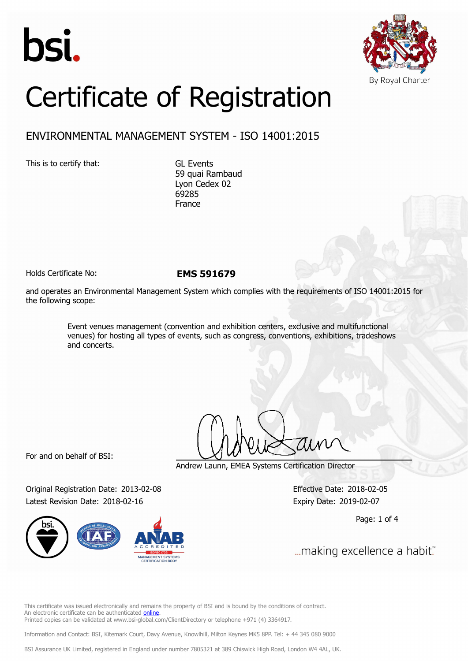



# Certificate of Registration

## ENVIRONMENTAL MANAGEMENT SYSTEM - ISO 14001:2015

This is to certify that: GL Events

59 quai Rambaud Lyon Cedex 02 69285 France

Holds Certificate No: **EMS 591679**

and operates an Environmental Management System which complies with the requirements of ISO 14001:2015 for the following scope:

> Event venues management (convention and exhibition centers, exclusive and multifunctional venues) for hosting all types of events, such as congress, conventions, exhibitions, tradeshows and concerts.

For and on behalf of BSI:

Andrew Launn, EMEA Systems Certification Director

Original Registration Date: 2013-02-08 Effective Date: 2018-02-05 Latest Revision Date: 2018-02-16 Expiry Date: 2019-02-07



Page: 1 of 4

... making excellence a habit."

This certificate was issued electronically and remains the property of BSI and is bound by the conditions of contract. An electronic certificate can be authenticated [online](https://pgplus.bsigroup.com/CertificateValidation/CertificateValidator.aspx?CertificateNumber=EMS+591679&ReIssueDate=16%2f02%2f2018&Template=cemea_en). Printed copies can be validated at www.bsi-global.com/ClientDirectory or telephone +971 (4) 3364917.

Information and Contact: BSI, Kitemark Court, Davy Avenue, Knowlhill, Milton Keynes MK5 8PP. Tel: + 44 345 080 9000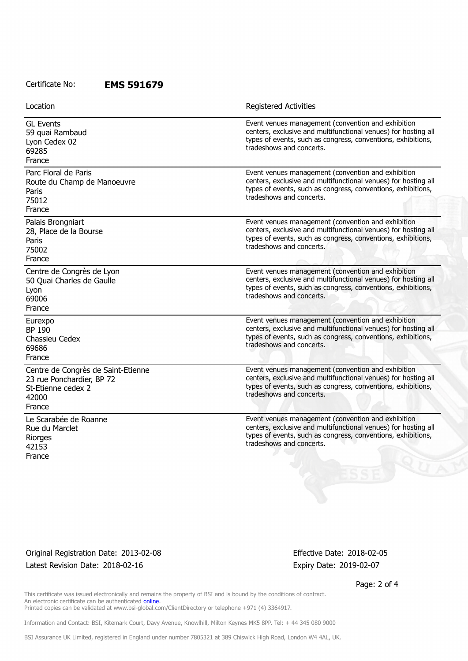### Certificate No: **EMS 591679**

| Location                                                                                                 | <b>Registered Activities</b>                                                                                                                                                                                     |
|----------------------------------------------------------------------------------------------------------|------------------------------------------------------------------------------------------------------------------------------------------------------------------------------------------------------------------|
| <b>GL Events</b><br>59 quai Rambaud<br>Lyon Cedex 02<br>69285<br>France                                  | Event venues management (convention and exhibition<br>centers, exclusive and multifunctional venues) for hosting all<br>types of events, such as congress, conventions, exhibitions,<br>tradeshows and concerts. |
| Parc Floral de Paris<br>Route du Champ de Manoeuvre<br>Paris<br>75012<br>France                          | Event venues management (convention and exhibition<br>centers, exclusive and multifunctional venues) for hosting all<br>types of events, such as congress, conventions, exhibitions,<br>tradeshows and concerts. |
| Palais Brongniart<br>28, Place de la Bourse<br>Paris<br>75002<br>France                                  | Event venues management (convention and exhibition<br>centers, exclusive and multifunctional venues) for hosting all<br>types of events, such as congress, conventions, exhibitions,<br>tradeshows and concerts. |
| Centre de Congrès de Lyon<br>50 Quai Charles de Gaulle<br>Lyon<br>69006<br>France                        | Event venues management (convention and exhibition<br>centers, exclusive and multifunctional venues) for hosting all<br>types of events, such as congress, conventions, exhibitions,<br>tradeshows and concerts. |
| Eurexpo<br>BP 190<br>Chassieu Cedex<br>69686<br>France                                                   | Event venues management (convention and exhibition<br>centers, exclusive and multifunctional venues) for hosting all<br>types of events, such as congress, conventions, exhibitions,<br>tradeshows and concerts. |
| Centre de Congrès de Saint-Etienne<br>23 rue Ponchardier, BP 72<br>St-Etienne cedex 2<br>42000<br>France | Event venues management (convention and exhibition<br>centers, exclusive and multifunctional venues) for hosting all<br>types of events, such as congress, conventions, exhibitions,<br>tradeshows and concerts. |
| Le Scarabée de Roanne<br>Rue du Marclet<br>Riorges<br>42153<br>France                                    | Event venues management (convention and exhibition<br>centers, exclusive and multifunctional venues) for hosting all<br>types of events, such as congress, conventions, exhibitions,<br>tradeshows and concerts. |

Original Registration Date: 2013-02-08 Effective Date: 2018-02-05 Latest Revision Date: 2018-02-16 Expiry Date: 2019-02-07

Page: 2 of 4

This certificate was issued electronically and remains the property of BSI and is bound by the conditions of contract. An electronic certificate can be authenticated **[online](https://pgplus.bsigroup.com/CertificateValidation/CertificateValidator.aspx?CertificateNumber=EMS+591679&ReIssueDate=16%2f02%2f2018&Template=cemea_en)**. Printed copies can be validated at www.bsi-global.com/ClientDirectory or telephone +971 (4) 3364917.

Information and Contact: BSI, Kitemark Court, Davy Avenue, Knowlhill, Milton Keynes MK5 8PP. Tel: + 44 345 080 9000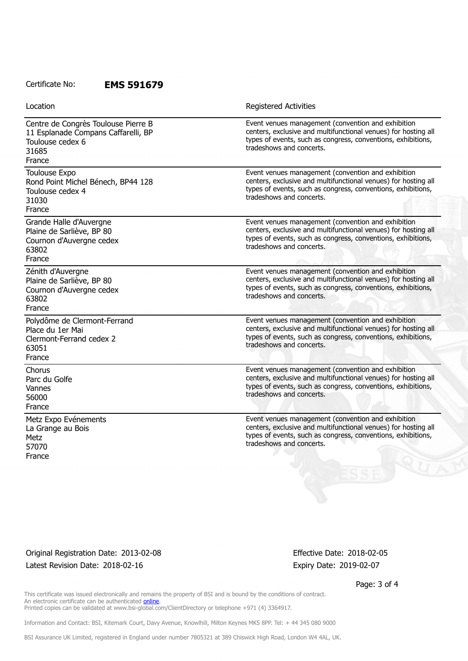#### Certificate No: **EMS 591679**

| Location                                                                                                          | <b>Registered Activities</b>                                                                                                                                                                                     |
|-------------------------------------------------------------------------------------------------------------------|------------------------------------------------------------------------------------------------------------------------------------------------------------------------------------------------------------------|
| Centre de Congrès Toulouse Pierre B<br>11 Esplanade Compans Caffarelli, BP<br>Toulouse cedex 6<br>31685<br>France | Event venues management (convention and exhibition<br>centers, exclusive and multifunctional venues) for hosting all<br>types of events, such as congress, conventions, exhibitions,<br>tradeshows and concerts. |
| <b>Toulouse Expo</b><br>Rond Point Michel Bénech, BP44 128<br>Toulouse cedex 4<br>31030<br>France                 | Event venues management (convention and exhibition<br>centers, exclusive and multifunctional venues) for hosting all<br>types of events, such as congress, conventions, exhibitions,<br>tradeshows and concerts. |
| Grande Halle d'Auvergne<br>Plaine de Sarliève, BP 80<br>Cournon d'Auvergne cedex<br>63802<br>France               | Event venues management (convention and exhibition<br>centers, exclusive and multifunctional venues) for hosting all<br>types of events, such as congress, conventions, exhibitions,<br>tradeshows and concerts. |
| Zénith d'Auvergne<br>Plaine de Sarliève, BP 80<br>Cournon d'Auvergne cedex<br>63802<br>France                     | Event venues management (convention and exhibition<br>centers, exclusive and multifunctional venues) for hosting all<br>types of events, such as congress, conventions, exhibitions,<br>tradeshows and concerts. |
| Polydôme de Clermont-Ferrand<br>Place du 1er Mai<br>Clermont-Ferrand cedex 2<br>63051<br>France                   | Event venues management (convention and exhibition<br>centers, exclusive and multifunctional venues) for hosting all<br>types of events, such as congress, conventions, exhibitions,<br>tradeshows and concerts. |
| Chorus<br>Parc du Golfe<br>Vannes<br>56000<br>France                                                              | Event venues management (convention and exhibition<br>centers, exclusive and multifunctional venues) for hosting all<br>types of events, such as congress, conventions, exhibitions,<br>tradeshows and concerts. |
| Metz Expo Evénements<br>La Grange au Bois<br>Metz<br>57070<br>France                                              | Event venues management (convention and exhibition<br>centers, exclusive and multifunctional venues) for hosting all<br>types of events, such as congress, conventions, exhibitions,<br>tradeshows and concerts. |

Original Registration Date: 2013-02-08 Effective Date: 2018-02-05 Latest Revision Date: 2018-02-16 Expiry Date: 2019-02-07

Page: 3 of 4

This certificate was issued electronically and remains the property of BSI and is bound by the conditions of contract. An electronic certificate can be authenticated **[online](https://pgplus.bsigroup.com/CertificateValidation/CertificateValidator.aspx?CertificateNumber=EMS+591679&ReIssueDate=16%2f02%2f2018&Template=cemea_en)**. Printed copies can be validated at www.bsi-global.com/ClientDirectory or telephone +971 (4) 3364917.

Information and Contact: BSI, Kitemark Court, Davy Avenue, Knowlhill, Milton Keynes MK5 8PP. Tel: + 44 345 080 9000